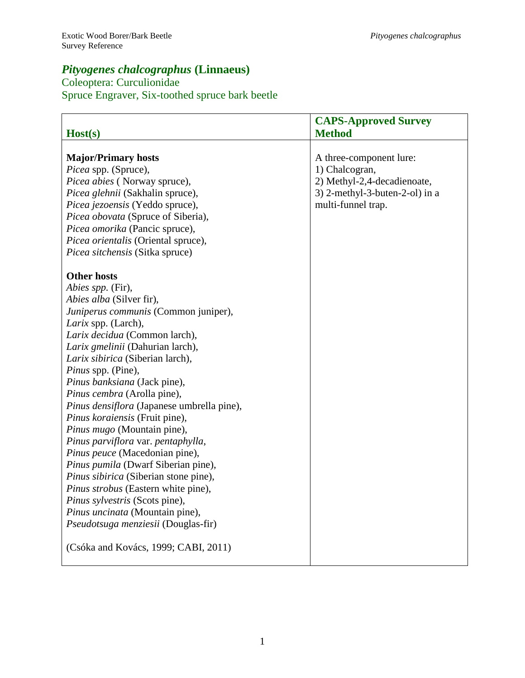# *Pityogenes chalcographus* **(Linnaeus)**

# Coleoptera: Curculionidae Spruce Engraver, Six-toothed spruce bark beetle

|                                                                                                                                                                                                                                                                                                                                                                                                                                                                                                                                                                                         | <b>CAPS-Approved Survey</b>                                                                                                      |
|-----------------------------------------------------------------------------------------------------------------------------------------------------------------------------------------------------------------------------------------------------------------------------------------------------------------------------------------------------------------------------------------------------------------------------------------------------------------------------------------------------------------------------------------------------------------------------------------|----------------------------------------------------------------------------------------------------------------------------------|
| Host(s)                                                                                                                                                                                                                                                                                                                                                                                                                                                                                                                                                                                 | <b>Method</b>                                                                                                                    |
| <b>Major/Primary hosts</b><br>Picea spp. (Spruce),<br>Picea abies (Norway spruce),<br>Picea glehnii (Sakhalin spruce),<br>Picea jezoensis (Yeddo spruce),<br>Picea obovata (Spruce of Siberia),<br>Picea omorika (Pancic spruce),<br>Picea orientalis (Oriental spruce),<br>Picea sitchensis (Sitka spruce)<br><b>Other hosts</b><br>Abies spp. (Fir),<br>Abies alba (Silver fir),<br>Juniperus communis (Common juniper),<br>Larix spp. (Larch),<br>Larix decidua (Common larch),<br>Larix gmelinii (Dahurian larch),                                                                  | A three-component lure:<br>1) Chalcogran,<br>2) Methyl-2,4-decadienoate,<br>3) 2-methyl-3-buten-2-ol) in a<br>multi-funnel trap. |
| Larix sibirica (Siberian larch),<br>Pinus spp. (Pine),<br>Pinus banksiana (Jack pine),<br>Pinus cembra (Arolla pine),<br>Pinus densiflora (Japanese umbrella pine),<br>Pinus koraiensis (Fruit pine),<br>Pinus mugo (Mountain pine),<br>Pinus parviflora var. pentaphylla,<br>Pinus peuce (Macedonian pine),<br>Pinus pumila (Dwarf Siberian pine),<br>Pinus sibirica (Siberian stone pine),<br>Pinus strobus (Eastern white pine),<br>Pinus sylvestris (Scots pine),<br>Pinus uncinata (Mountain pine),<br>Pseudotsuga menziesii (Douglas-fir)<br>(Csóka and Kovács, 1999; CABI, 2011) |                                                                                                                                  |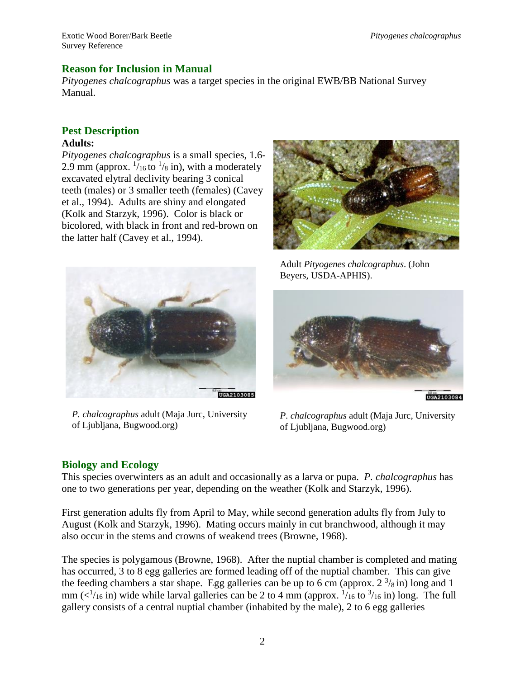## **Reason for Inclusion in Manual**

*Pityogenes chalcographus* was a target species in the original EWB/BB National Survey Manual.

#### **Pest Description Adults:**

*Pityogenes chalcographus* is a small species, 1.6- 2.9 mm (approx.  $\frac{1}{16}$  to  $\frac{1}{8}$  in), with a moderately excavated elytral declivity bearing 3 conical teeth (males) or 3 smaller teeth (females) (Cavey et al., 1994). Adults are shiny and elongated (Kolk and Starzyk, 1996). Color is black or bicolored, with black in front and red-brown on the latter half (Cavey et al., 1994).





*P. chalcographus* adult (Maja Jurc, University of Ljubljana, Bugwood.org)

Adult *Pityogenes chalcographus*. (John Beyers, USDA-APHIS).



*P. chalcographus* adult (Maja Jurc, University of Ljubljana, Bugwood.org)

## **Biology and Ecology**

This species overwinters as an adult and occasionally as a larva or pupa. *P. chalcographus* has one to two generations per year, depending on the weather (Kolk and Starzyk, 1996).

First generation adults fly from April to May, while second generation adults fly from July to August (Kolk and Starzyk, 1996). Mating occurs mainly in cut branchwood, although it may also occur in the stems and crowns of weakend trees (Browne, 1968).

The species is polygamous (Browne, 1968). After the nuptial chamber is completed and mating has occurred, 3 to 8 egg galleries are formed leading off of the nuptial chamber. This can give the feeding chambers a star shape. Egg galleries can be up to 6 cm (approx.  $2^{3}/_8$  in) long and 1 mm ( $\langle 1/16 \text{ in } \rangle$ ) wide while larval galleries can be 2 to 4 mm (approx.  $\frac{1}{16}$  to  $\frac{3}{16}$  in) long. The full gallery consists of a central nuptial chamber (inhabited by the male), 2 to 6 egg galleries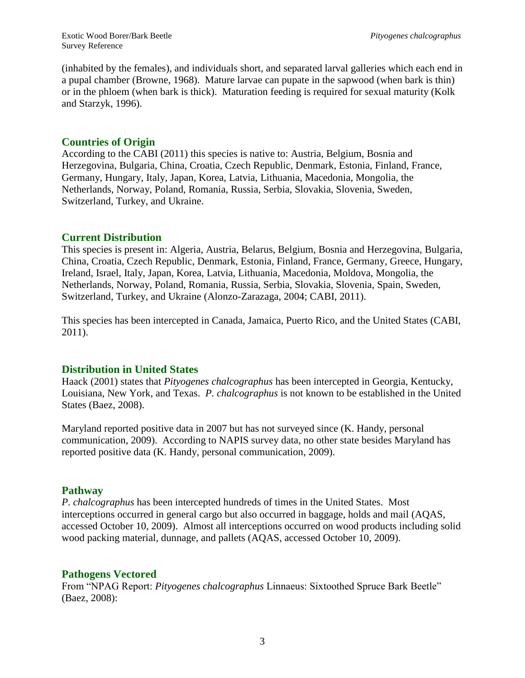(inhabited by the females), and individuals short, and separated larval galleries which each end in a pupal chamber (Browne, 1968). Mature larvae can pupate in the sapwood (when bark is thin) or in the phloem (when bark is thick). Maturation feeding is required for sexual maturity (Kolk and Starzyk, 1996).

## **Countries of Origin**

According to the CABI (2011) this species is native to: Austria, Belgium, Bosnia and Herzegovina, Bulgaria, China, Croatia, Czech Republic, Denmark, Estonia, Finland, France, Germany, Hungary, Italy, Japan, Korea, Latvia, Lithuania, Macedonia, Mongolia, the Netherlands, Norway, Poland, Romania, Russia, Serbia, Slovakia, Slovenia, Sweden, Switzerland, Turkey, and Ukraine.

## **Current Distribution**

This species is present in: Algeria, Austria, Belarus, Belgium, Bosnia and Herzegovina, Bulgaria, China, Croatia, Czech Republic, Denmark, Estonia, Finland, France, Germany, Greece, Hungary, Ireland, Israel, Italy, Japan, Korea, Latvia, Lithuania, Macedonia, Moldova, Mongolia, the Netherlands, Norway, Poland, Romania, Russia, Serbia, Slovakia, Slovenia, Spain, Sweden, Switzerland, Turkey, and Ukraine (Alonzo-Zarazaga, 2004; CABI, 2011).

This species has been intercepted in Canada, Jamaica, Puerto Rico, and the United States (CABI, 2011).

## **Distribution in United States**

Haack (2001) states that *Pityogenes chalcographus* has been intercepted in Georgia, Kentucky, Louisiana, New York, and Texas. *P. chalcographus* is not known to be established in the United States (Baez, 2008).

Maryland reported positive data in 2007 but has not surveyed since (K. Handy, personal communication, 2009). According to NAPIS survey data, no other state besides Maryland has reported positive data (K. Handy, personal communication, 2009).

## **Pathway**

*P. chalcographus* has been intercepted hundreds of times in the United States. Most interceptions occurred in general cargo but also occurred in baggage, holds and mail (AQAS, accessed October 10, 2009). Almost all interceptions occurred on wood products including solid wood packing material, dunnage, and pallets (AQAS, accessed October 10, 2009).

## **Pathogens Vectored**

From "NPAG Report: *Pityogenes chalcographus* Linnaeus: Sixtoothed Spruce Bark Beetle" (Baez, 2008):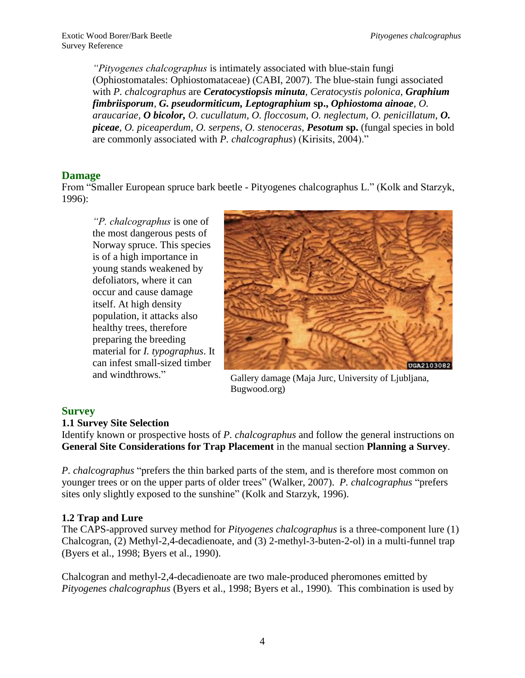*"Pityogenes chalcographus* is intimately associated with blue-stain fungi (Ophiostomatales: Ophiostomataceae) (CABI, 2007). The blue-stain fungi associated with *P. chalcographus* are *Ceratocystiopsis minuta*, *Ceratocystis polonica, Graphium fimbriisporum, G. pseudormiticum, Leptographium* **sp.,** *Ophiostoma ainoae, O. araucariae, O bicolor, O. cucullatum, O. floccosum, O. neglectum, O. penicillatum, O. piceae, O. piceaperdum, O. serpens, O. stenoceras, Pesotum* **sp.** (fungal species in bold are commonly associated with *P. chalcographus*) (Kirisits, 2004)."

## **Damage**

From "Smaller European spruce bark beetle - Pityogenes chalcographus L." (Kolk and Starzyk, 1996):

*"P. chalcographus* is one of the most dangerous pests of Norway spruce. This species is of a high importance in young stands weakened by defoliators, where it can occur and cause damage itself. At high density population, it attacks also healthy trees, therefore preparing the breeding material for *I. typographus*. It can infest small-sized timber and windthrows."



Gallery damage (Maja Jurc, University of Ljubljana, Bugwood.org)

## **Survey**

#### **1.1 Survey Site Selection**

Identify known or prospective hosts of *P. chalcographus* and follow the general instructions on **General Site Considerations for Trap Placement** in the manual section **Planning a Survey**.

*P. chalcographus* "prefers the thin barked parts of the stem, and is therefore most common on younger trees or on the upper parts of older trees" (Walker, 2007). *P. chalcographus* "prefers sites only slightly exposed to the sunshine" (Kolk and Starzyk, 1996).

## **1.2 Trap and Lure**

The CAPS-approved survey method for *Pityogenes chalcographus* is a three-component lure (1) Chalcogran, (2) Methyl-2,4-decadienoate, and (3) 2-methyl-3-buten-2-ol) in a multi-funnel trap (Byers et al., 1998; Byers et al., 1990).

Chalcogran and methyl-2,4-decadienoate are two male-produced pheromones emitted by *Pityogenes chalcographus* (Byers et al., 1998; Byers et al., 1990)*.* This combination is used by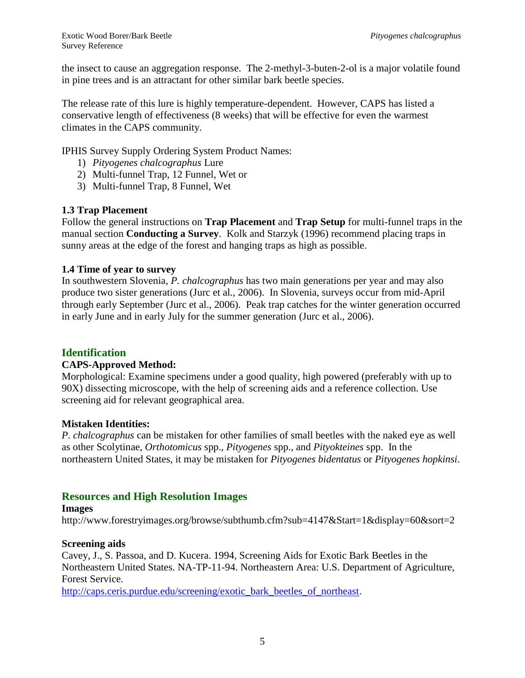the insect to cause an aggregation response. The 2-methyl-3-buten-2-ol is a major volatile found in pine trees and is an attractant for other similar bark beetle species.

The release rate of this lure is highly temperature-dependent. However, CAPS has listed a conservative length of effectiveness (8 weeks) that will be effective for even the warmest climates in the CAPS community.

IPHIS Survey Supply Ordering System Product Names:

- 1) *Pityogenes chalcographus* Lure
- 2) Multi-funnel Trap, 12 Funnel, Wet or
- 3) Multi-funnel Trap, 8 Funnel, Wet

#### **1.3 Trap Placement**

Follow the general instructions on **Trap Placement** and **Trap Setup** for multi-funnel traps in the manual section **Conducting a Survey**. Kolk and Starzyk (1996) recommend placing traps in sunny areas at the edge of the forest and hanging traps as high as possible.

#### **1.4 Time of year to survey**

In southwestern Slovenia, *P. chalcographus* has two main generations per year and may also produce two sister generations (Jurc et al., 2006). In Slovenia, surveys occur from mid-April through early September (Jurc et al., 2006). Peak trap catches for the winter generation occurred in early June and in early July for the summer generation (Jurc et al., 2006).

## **Identification**

#### **CAPS-Approved Method:**

Morphological: Examine specimens under a good quality, high powered (preferably with up to 90X) dissecting microscope, with the help of screening aids and a reference collection. Use screening aid for relevant geographical area.

#### **Mistaken Identities:**

*P. chalcographus* can be mistaken for other families of small beetles with the naked eye as well as other Scolytinae, *Orthotomicus* spp., *Pityogenes* spp., and *Pityokteines* spp. In the northeastern United States, it may be mistaken for *Pityogenes bidentatus* or *Pityogenes hopkinsi*.

## **Resources and High Resolution Images**

#### **Images**

http://www.forestryimages.org/browse/subthumb.cfm?sub=4147&Start=1&display=60&sort=2

#### **Screening aids**

Cavey, J., S. Passoa, and D. Kucera. 1994, Screening Aids for Exotic Bark Beetles in the Northeastern United States. NA-TP-11-94. Northeastern Area: U.S. Department of Agriculture, Forest Service.

[http://caps.ceris.purdue.edu/screening/exotic\\_bark\\_beetles\\_of\\_northeast](http://caps.ceris.purdue.edu/screening/exotic_bark_beetles_of_northeast).